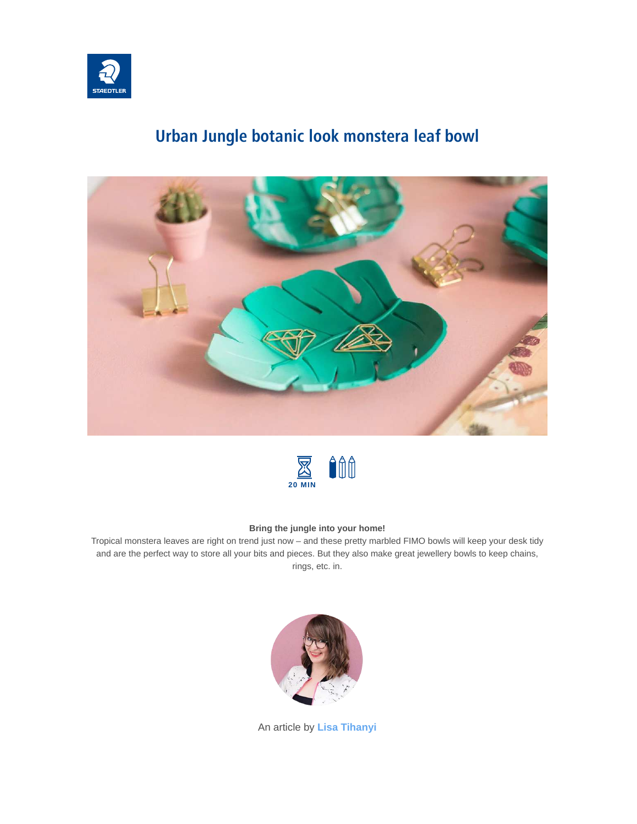

## **Urban Jungle botanic look monstera leaf bowl**





#### **Bring the jungle into your home!**

Tropical monstera leaves are right on trend just now – and these pretty marbled FIMO bowls will keep your desk tidy and are the perfect way to store all your bits and pieces. But they also make great jewellery bowls to keep chains, rings, etc. in.



An article by **[Lisa Tihanyi](https://www.staedtler.com/intl/en/discover/lisa-tihanyi/)**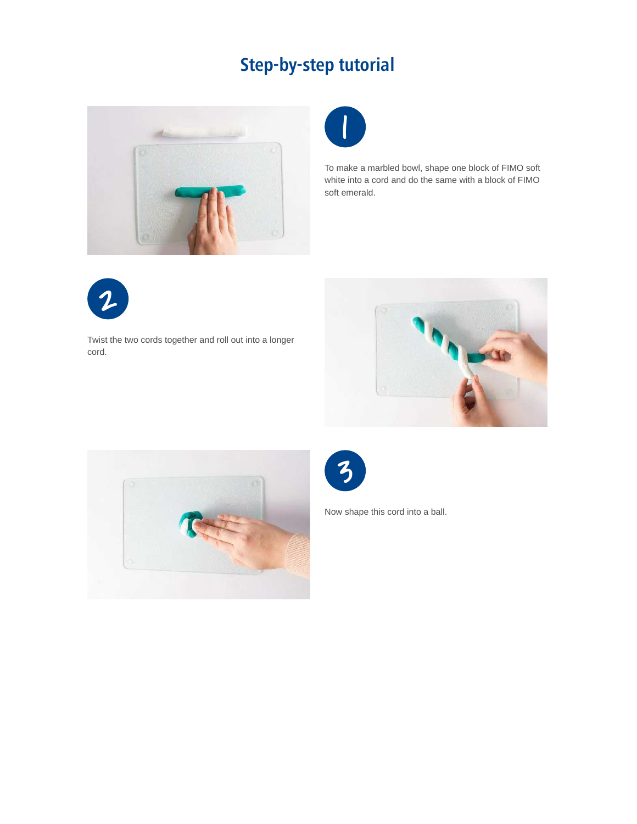# **Step-by-step tutorial**





To make a marbled bowl, shape one block of FIMO soft white into a cord and do the same with a block of FIMO soft emerald.



Twist the two cords together and roll out into a longer cord.







Now shape this cord into a ball.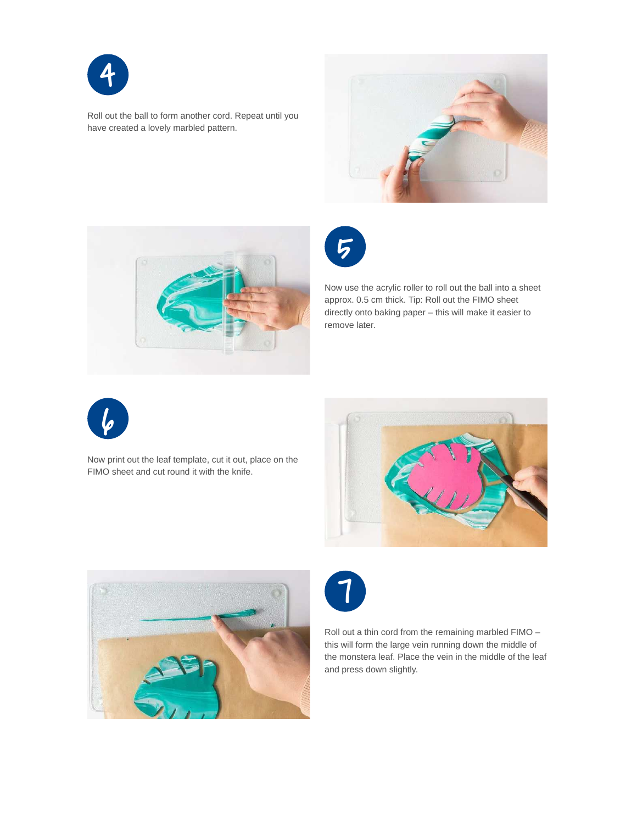

Roll out the ball to form another cord. Repeat until you have created a lovely marbled pattern.







Now use the acrylic roller to roll out the ball into a sheet approx. 0.5 cm thick. Tip: Roll out the FIMO sheet directly onto baking paper – this will make it easier to remove later.



Now print out the leaf template, cut it out, place on the FIMO sheet and cut round it with the knife.







Roll out a thin cord from the remaining marbled FIMO – this will form the large vein running down the middle of the monstera leaf. Place the vein in the middle of the leaf and press down slightly.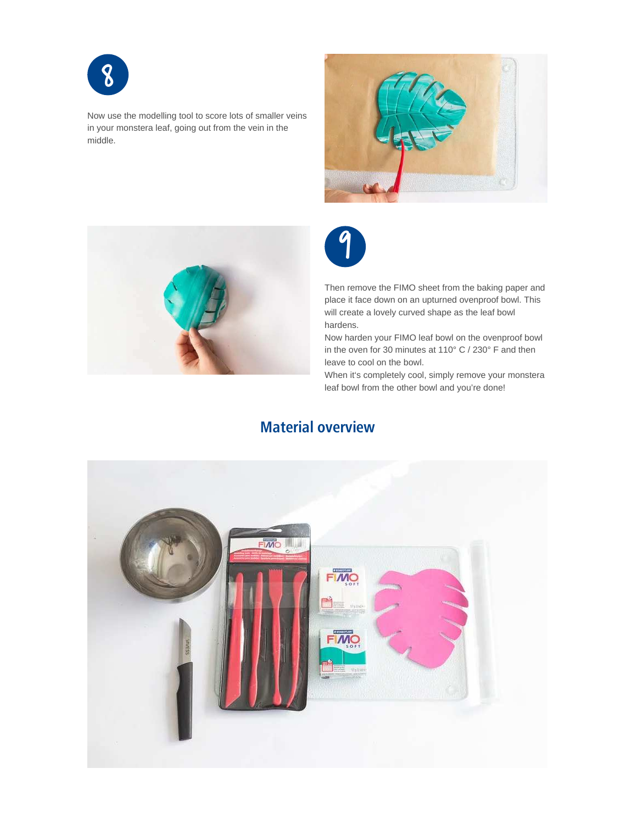

Now use the modelling tool to score lots of smaller veins in your monstera leaf, going out from the vein in the middle.







Then remove the FIMO sheet from the baking paper and place it face down on an upturned ovenproof bowl. This will create a lovely curved shape as the leaf bowl hardens.

Now harden your FIMO leaf bowl on the ovenproof bowl in the oven for 30 minutes at 110° C / 230° F and then leave to cool on the bowl.

When it's completely cool, simply remove your monstera leaf bowl from the other bowl and you're done!

### **Material overview**